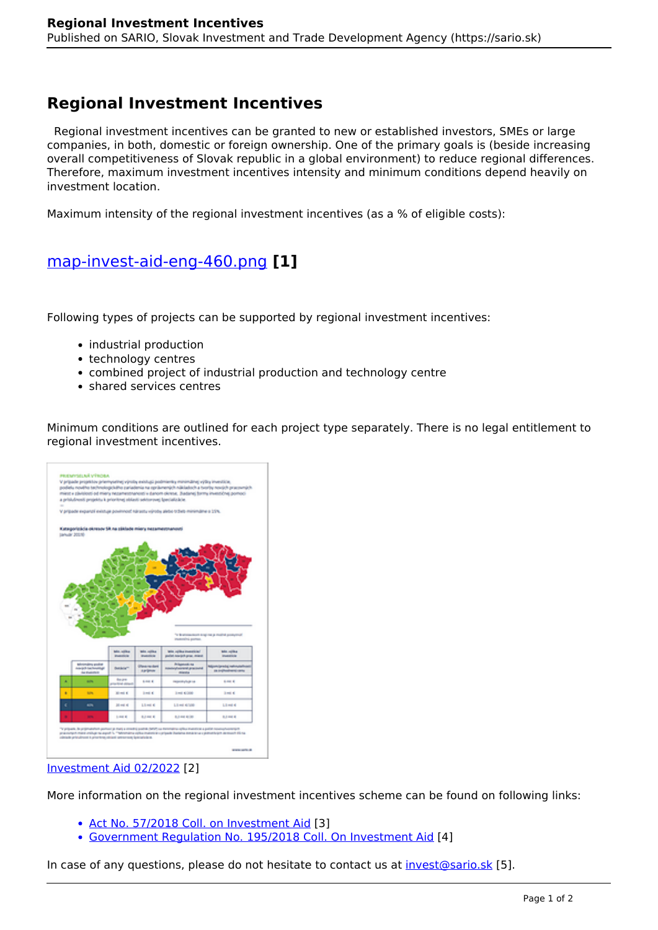## **Regional Investment Incentives**

 Regional investment incentives can be granted to new or established investors, SMEs or large companies, in both, domestic or foreign ownership. One of the primary goals is (beside increasing overall competitiveness of Slovak republic in a global environment) to reduce regional differences. Therefore, maximum investment incentives intensity and minimum conditions depend heavily on investment location.

Maximum intensity of the regional investment incentives (as a % of eligible costs):

## [map-invest-aid-eng-460.png](https://sario.sk/sk/file/map-invest-aid-eng-460png) **[1]**

Following types of projects can be supported by regional investment incentives:

- industrial production
- technology centres
- combined project of industrial production and technology centre
- shared services centres

Minimum conditions are outlined for each project type separately. There is no legal entitlement to regional investment incentives.



## [Investment Aid 02/2022](https://sario.sk/sites/default/files/sario-investment-aid-eng-2022-02-24.pdf) [2]

More information on the regional investment incentives scheme can be found on following links:

- [Act No. 57/2018 Coll. on Investment Aid](https://www.slov-lex.sk/pravne-predpisy/SK/ZZ/2018/57/20210101.html) [3]
- [Government Regulation No. 195/2018 Coll. On Investment Aid](https://www.slov-lex.sk/pravne-predpisy/SK/ZZ/2018/195/) [4]

In case of any questions, please do not hesitate to contact us at [invest@sario.sk](mailto:invest@sario.sk) [5].